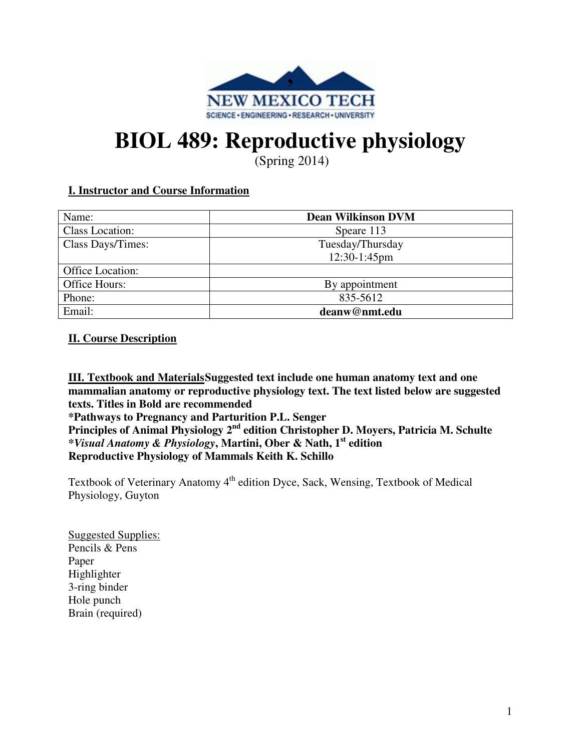

# **BIOL 489: Reproductive physiology**

(Spring 2014)

# **I. Instructor and Course Information**

| Name:             | <b>Dean Wilkinson DVM</b> |
|-------------------|---------------------------|
| Class Location:   | Speare 113                |
| Class Days/Times: | Tuesday/Thursday          |
|                   | 12:30-1:45pm              |
| Office Location:  |                           |
| Office Hours:     | By appointment            |
| Phone:            | 835-5612                  |
| Email:            | deanw@nmt.edu             |

## **II. Course Description**

**III. Textbook and Materials Suggested text include one human anatomy text and one mammalian anatomy or reproductive physiology text. The text listed below are suggested texts. Titles in Bold are recommended** 

**\*Pathways to Pregnancy and Parturition P.L. Senger** 

**Principles of Animal Physiology 2nd edition Christopher D. Moyers, Patricia M. Schulte**  *\*Visual Anatomy & Physiology***, Martini, Ober & Nath, 1st edition Reproductive Physiology of Mammals Keith K. Schillo**

Textbook of Veterinary Anatomy 4<sup>th</sup> edition Dyce, Sack, Wensing, Textbook of Medical Physiology, Guyton

Suggested Supplies: Pencils & Pens Paper Highlighter 3-ring binder Hole punch Brain (required)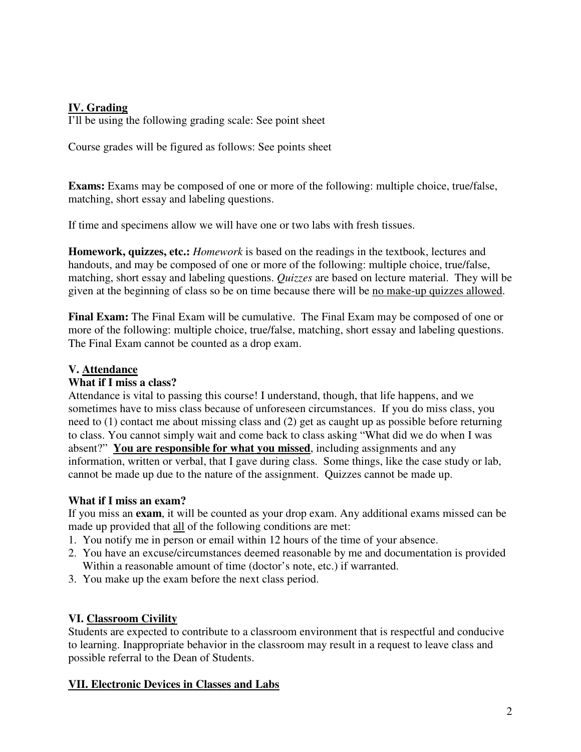## **IV. Grading**

I'll be using the following grading scale: See point sheet

Course grades will be figured as follows: See points sheet

**Exams:** Exams may be composed of one or more of the following: multiple choice, true/false, matching, short essay and labeling questions.

If time and specimens allow we will have one or two labs with fresh tissues.

**Homework, quizzes, etc.:** *Homework* is based on the readings in the textbook, lectures and handouts, and may be composed of one or more of the following: multiple choice, true/false, matching, short essay and labeling questions. *Quizzes* are based on lecture material. They will be given at the beginning of class so be on time because there will be no make-up quizzes allowed.

**Final Exam:** The Final Exam will be cumulative. The Final Exam may be composed of one or more of the following: multiple choice, true/false, matching, short essay and labeling questions. The Final Exam cannot be counted as a drop exam.

## **V. Attendance**

#### **What if I miss a class?**

Attendance is vital to passing this course! I understand, though, that life happens, and we sometimes have to miss class because of unforeseen circumstances. If you do miss class, you need to (1) contact me about missing class and (2) get as caught up as possible before returning to class. You cannot simply wait and come back to class asking "What did we do when I was absent?" **You are responsible for what you missed**, including assignments and any information, written or verbal, that I gave during class. Some things, like the case study or lab, cannot be made up due to the nature of the assignment. Quizzes cannot be made up.

# **What if I miss an exam?**

If you miss an **exam**, it will be counted as your drop exam. Any additional exams missed can be made up provided that all of the following conditions are met:

- 1. You notify me in person or email within 12 hours of the time of your absence.
- 2. You have an excuse/circumstances deemed reasonable by me and documentation is provided Within a reasonable amount of time (doctor's note, etc.) if warranted.
- 3. You make up the exam before the next class period.

# **VI. Classroom Civility**

Students are expected to contribute to a classroom environment that is respectful and conducive to learning. Inappropriate behavior in the classroom may result in a request to leave class and possible referral to the Dean of Students.

# **VII. Electronic Devices in Classes and Labs**